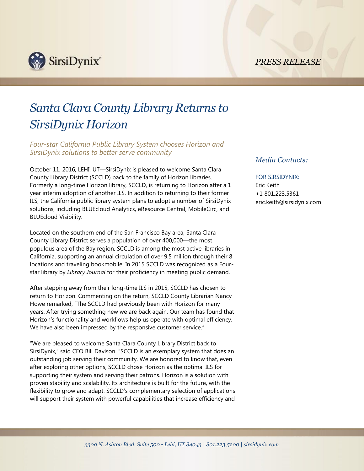*PRESS RELEASE*



# *Santa Clara County Library Returns to SirsiDynix Horizon*

*Four-star California Public Library System chooses Horizon and SirsiDynix solutions to better serve community* 

October 11, 2016, LEHI, UT—SirsiDynix is pleased to welcome Santa Clara County Library District (SCCLD) back to the family of Horizon libraries. Formerly a long-time Horizon library, SCCLD, is returning to Horizon after a 1 year interim adoption of another ILS. In addition to returning to their former ILS, the California public library system plans to adopt a number of SirsiDynix solutions, including BLUEcloud Analytics, eResource Central, MobileCirc, and BLUEcloud Visibility.

Located on the southern end of the San Francisco Bay area, Santa Clara County Library District serves a population of over 400,000—the most populous area of the Bay region. SCCLD is among the most active libraries in California, supporting an annual circulation of over 9.5 million through their 8 locations and traveling bookmobile. In 2015 SCCLD was recognized as a Fourstar library by *Library Journal* for their proficiency in meeting public demand.

After stepping away from their long-time ILS in 2015, SCCLD has chosen to return to Horizon. Commenting on the return, SCCLD County Librarian Nancy Howe remarked, "The SCCLD had previously been with Horizon for many years. After trying something new we are back again. Our team has found that Horizon's functionality and workflows help us operate with optimal efficiency. We have also been impressed by the responsive customer service."

"We are pleased to welcome Santa Clara County Library District back to SirsiDynix," said CEO Bill Davison. "SCCLD is an exemplary system that does an outstanding job serving their community. We are honored to know that, even after exploring other options, SCCLD chose Horizon as the optimal ILS for supporting their system and serving their patrons. Horizon is a solution with proven stability and scalability. Its architecture is built for the future, with the flexibility to grow and adapt. SCCLD's complementary selection of applications will support their system with powerful capabilities that increase efficiency and

## *Media Contacts:*

# FOR SIRSIDYNIX:

Eric Keith +1 801.223.5361 eric.keith@sirsidynix.com